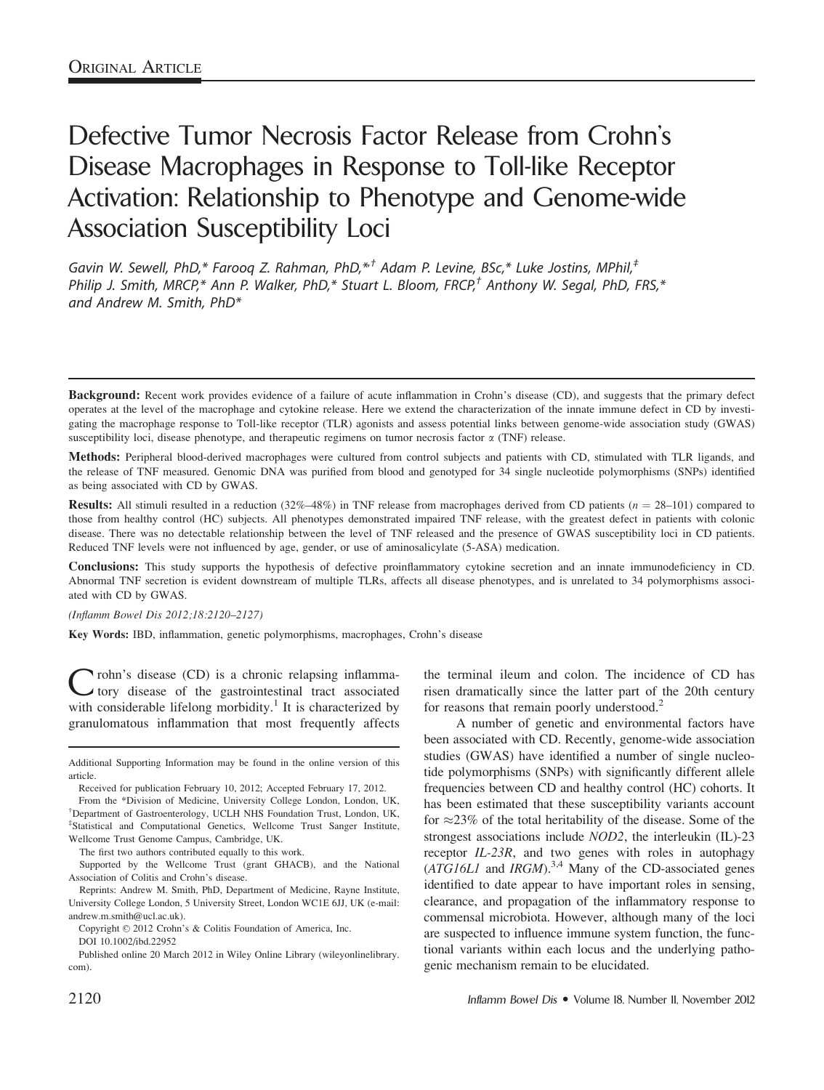# Defective Tumor Necrosis Factor Release from Crohn's Disease Macrophages in Response to Toll-like Receptor Activation: Relationship to Phenotype and Genome-wide Association Susceptibility Loci

Gavin W. Sewell, PhD,\* Faroog Z. Rahman, PhD,\*<sup>†</sup> Adam P. Levine, BSc,\* Luke Jostins, MPhil,<sup>‡</sup> Philip J. Smith, MRCP,\* Ann P. Walker, PhD,\* Stuart L. Bloom, FRCP,<sup>†</sup> Anthony W. Segal, PhD, FRS,\* and Andrew M. Smith, PhD\*

Methods: Peripheral blood-derived macrophages were cultured from control subjects and patients with CD, stimulated with TLR ligands, and the release of TNF measured. Genomic DNA was purified from blood and genotyped for 34 single nucleotide polymorphisms (SNPs) identified as being associated with CD by GWAS.

**Results:** All stimuli resulted in a reduction (32%–48%) in TNF release from macrophages derived from CD patients ( $n = 28-101$ ) compared to those from healthy control (HC) subjects. All phenotypes demonstrated impaired TNF release, with the greatest defect in patients with colonic disease. There was no detectable relationship between the level of TNF released and the presence of GWAS susceptibility loci in CD patients. Reduced TNF levels were not influenced by age, gender, or use of aminosalicylate (5-ASA) medication.

Conclusions: This study supports the hypothesis of defective proinflammatory cytokine secretion and an innate immunodeficiency in CD. Abnormal TNF secretion is evident downstream of multiple TLRs, affects all disease phenotypes, and is unrelated to 34 polymorphisms associated with CD by GWAS.

(Inflamm Bowel Dis 2012;18:2120–2127)

Key Words: IBD, inflammation, genetic polymorphisms, macrophages, Crohn's disease

 $\sum$  rohn's disease (CD) is a chronic relapsing inflamma-<br>tory disease of the gastrointestinal tract associated with considerable lifelong morbidity.<sup>1</sup> It is characterized by granulomatous inflammation that most frequently affects

Reprints: Andrew M. Smith, PhD, Department of Medicine, Rayne Institute, University College London, 5 University Street, London WC1E 6JJ, UK (e-mail: andrew.m.smith@ucl.ac.uk).

the terminal ileum and colon. The incidence of CD has risen dramatically since the latter part of the 20th century for reasons that remain poorly understood.<sup>2</sup>

A number of genetic and environmental factors have been associated with CD. Recently, genome-wide association studies (GWAS) have identified a number of single nucleotide polymorphisms (SNPs) with significantly different allele frequencies between CD and healthy control (HC) cohorts. It has been estimated that these susceptibility variants account for  $\approx$  23% of the total heritability of the disease. Some of the strongest associations include NOD2, the interleukin (IL)-23 receptor IL-23R, and two genes with roles in autophagy  $(ATG16LI)$  and  $IRGM$ ).<sup>3,4</sup> Many of the CD-associated genes identified to date appear to have important roles in sensing, clearance, and propagation of the inflammatory response to commensal microbiota. However, although many of the loci are suspected to influence immune system function, the functional variants within each locus and the underlying pathogenic mechanism remain to be elucidated.

Background: Recent work provides evidence of a failure of acute inflammation in Crohn's disease (CD), and suggests that the primary defect operates at the level of the macrophage and cytokine release. Here we extend the characterization of the innate immune defect in CD by investigating the macrophage response to Toll-like receptor (TLR) agonists and assess potential links between genome-wide association study (GWAS) susceptibility loci, disease phenotype, and therapeutic regimens on tumor necrosis factor  $\alpha$  (TNF) release.

Additional Supporting Information may be found in the online version of this article.

Received for publication February 10, 2012; Accepted February 17, 2012.

From the \*Division of Medicine, University College London, London, UK, † Department of Gastroenterology, UCLH NHS Foundation Trust, London, UK, ‡ Statistical and Computational Genetics, Wellcome Trust Sanger Institute, Wellcome Trust Genome Campus, Cambridge, UK.

The first two authors contributed equally to this work.

Supported by the Wellcome Trust (grant GHACB), and the National Association of Colitis and Crohn's disease.

Copyright © 2012 Crohn's & Colitis Foundation of America, Inc.

DOI 10.1002/ibd.22952

Published online 20 March 2012 in Wiley Online Library (wileyonlinelibrary. com).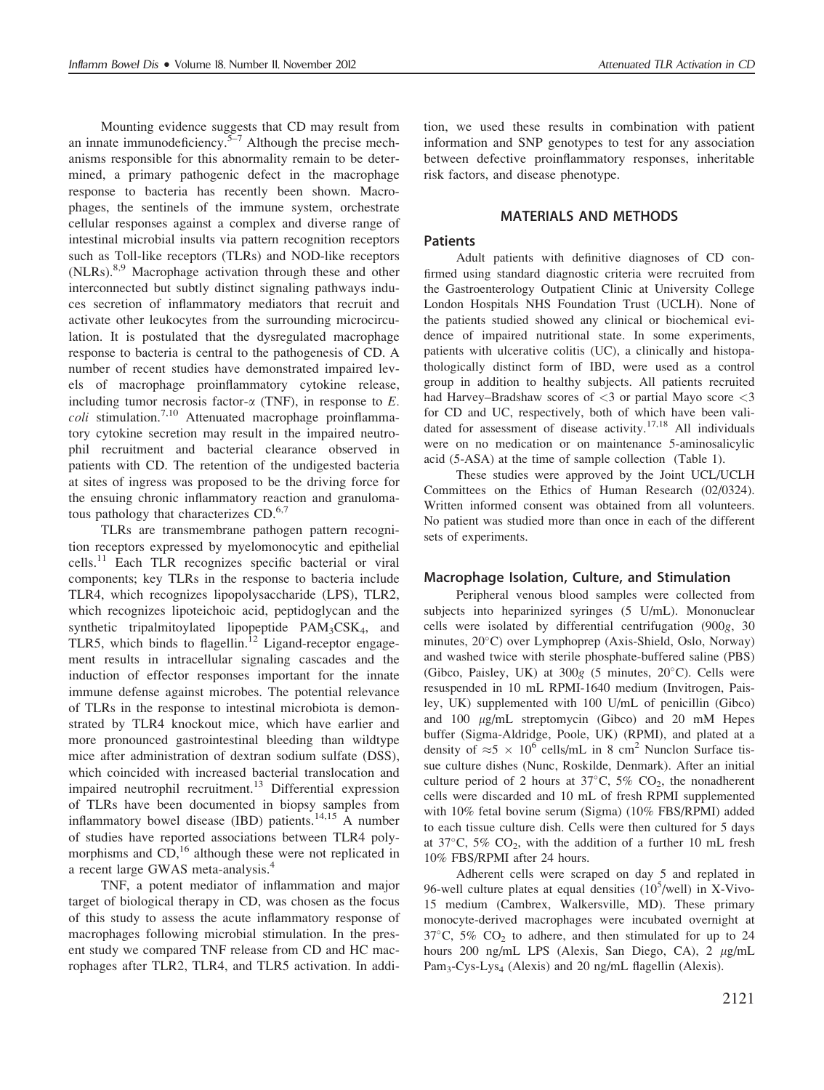Mounting evidence suggests that CD may result from an innate immunodeficiency.<sup>5–7</sup> Although the precise mechanisms responsible for this abnormality remain to be determined, a primary pathogenic defect in the macrophage response to bacteria has recently been shown. Macrophages, the sentinels of the immune system, orchestrate cellular responses against a complex and diverse range of intestinal microbial insults via pattern recognition receptors such as Toll-like receptors (TLRs) and NOD-like receptors (NLRs).<sup>8,9</sup> Macrophage activation through these and other interconnected but subtly distinct signaling pathways induces secretion of inflammatory mediators that recruit and activate other leukocytes from the surrounding microcirculation. It is postulated that the dysregulated macrophage response to bacteria is central to the pathogenesis of CD. A number of recent studies have demonstrated impaired levels of macrophage proinflammatory cytokine release, including tumor necrosis factor- $\alpha$  (TNF), in response to  $E$ .  $\text{coll}$  stimulation.<sup>7,10</sup> Attenuated macrophage proinflammatory cytokine secretion may result in the impaired neutrophil recruitment and bacterial clearance observed in patients with CD. The retention of the undigested bacteria at sites of ingress was proposed to be the driving force for the ensuing chronic inflammatory reaction and granulomatous pathology that characterizes CD.<sup>6,7</sup>

TLRs are transmembrane pathogen pattern recognition receptors expressed by myelomonocytic and epithelial cells.<sup>11</sup> Each TLR recognizes specific bacterial or viral components; key TLRs in the response to bacteria include TLR4, which recognizes lipopolysaccharide (LPS), TLR2, which recognizes lipoteichoic acid, peptidoglycan and the synthetic tripalmitoylated lipopeptide  $PAM<sub>3</sub>CSK<sub>4</sub>$ , and TLR5, which binds to flagellin.<sup>12</sup> Ligand-receptor engagement results in intracellular signaling cascades and the induction of effector responses important for the innate immune defense against microbes. The potential relevance of TLRs in the response to intestinal microbiota is demonstrated by TLR4 knockout mice, which have earlier and more pronounced gastrointestinal bleeding than wildtype mice after administration of dextran sodium sulfate (DSS), which coincided with increased bacterial translocation and impaired neutrophil recruitment.<sup>13</sup> Differential expression of TLRs have been documented in biopsy samples from inflammatory bowel disease (IBD) patients.<sup>14,15</sup> A number of studies have reported associations between TLR4 polymorphisms and  $CD<sub>16</sub>$ <sup>16</sup> although these were not replicated in a recent large GWAS meta-analysis.4

TNF, a potent mediator of inflammation and major target of biological therapy in CD, was chosen as the focus of this study to assess the acute inflammatory response of macrophages following microbial stimulation. In the present study we compared TNF release from CD and HC macrophages after TLR2, TLR4, and TLR5 activation. In addition, we used these results in combination with patient information and SNP genotypes to test for any association between defective proinflammatory responses, inheritable risk factors, and disease phenotype.

#### MATERIALS AND METHODS

#### Patients

Adult patients with definitive diagnoses of CD confirmed using standard diagnostic criteria were recruited from the Gastroenterology Outpatient Clinic at University College London Hospitals NHS Foundation Trust (UCLH). None of the patients studied showed any clinical or biochemical evidence of impaired nutritional state. In some experiments, patients with ulcerative colitis (UC), a clinically and histopathologically distinct form of IBD, were used as a control group in addition to healthy subjects. All patients recruited had Harvey–Bradshaw scores of <3 or partial Mayo score <3 for CD and UC, respectively, both of which have been validated for assessment of disease activity.<sup>17,18</sup> All individuals were on no medication or on maintenance 5-aminosalicylic acid (5-ASA) at the time of sample collection (Table 1).

These studies were approved by the Joint UCL/UCLH Committees on the Ethics of Human Research (02/0324). Written informed consent was obtained from all volunteers. No patient was studied more than once in each of the different sets of experiments.

#### Macrophage Isolation, Culture, and Stimulation

Peripheral venous blood samples were collected from subjects into heparinized syringes (5 U/mL). Mononuclear cells were isolated by differential centrifugation (900g, 30 minutes,  $20^{\circ}$ C) over Lymphoprep (Axis-Shield, Oslo, Norway) and washed twice with sterile phosphate-buffered saline (PBS) (Gibco, Paisley, UK) at  $300g$  (5 minutes,  $20^{\circ}$ C). Cells were resuspended in 10 mL RPMI-1640 medium (Invitrogen, Paisley, UK) supplemented with 100 U/mL of penicillin (Gibco) and  $100 \mu g/mL$  streptomycin (Gibco) and  $20 \mu M$  Hepes buffer (Sigma-Aldridge, Poole, UK) (RPMI), and plated at a density of  $\approx$  5  $\times$  10<sup>6</sup> cells/mL in 8 cm<sup>2</sup> Nunclon Surface tissue culture dishes (Nunc, Roskilde, Denmark). After an initial culture period of 2 hours at  $37^{\circ}$ C,  $5\%$  CO<sub>2</sub>, the nonadherent cells were discarded and 10 mL of fresh RPMI supplemented with 10% fetal bovine serum (Sigma) (10% FBS/RPMI) added to each tissue culture dish. Cells were then cultured for 5 days at  $37^{\circ}$ C,  $5\%$  CO<sub>2</sub>, with the addition of a further 10 mL fresh 10% FBS/RPMI after 24 hours.

Adherent cells were scraped on day 5 and replated in 96-well culture plates at equal densities  $(10^5/\text{well})$  in X-Vivo-15 medium (Cambrex, Walkersville, MD). These primary monocyte-derived macrophages were incubated overnight at 37 $\degree$ C, 5% CO<sub>2</sub> to adhere, and then stimulated for up to 24 hours 200 ng/mL LPS (Alexis, San Diego, CA), 2  $\mu$ g/mL Pam<sub>3</sub>-Cys-Lys<sub>4</sub> (Alexis) and 20 ng/mL flagellin (Alexis).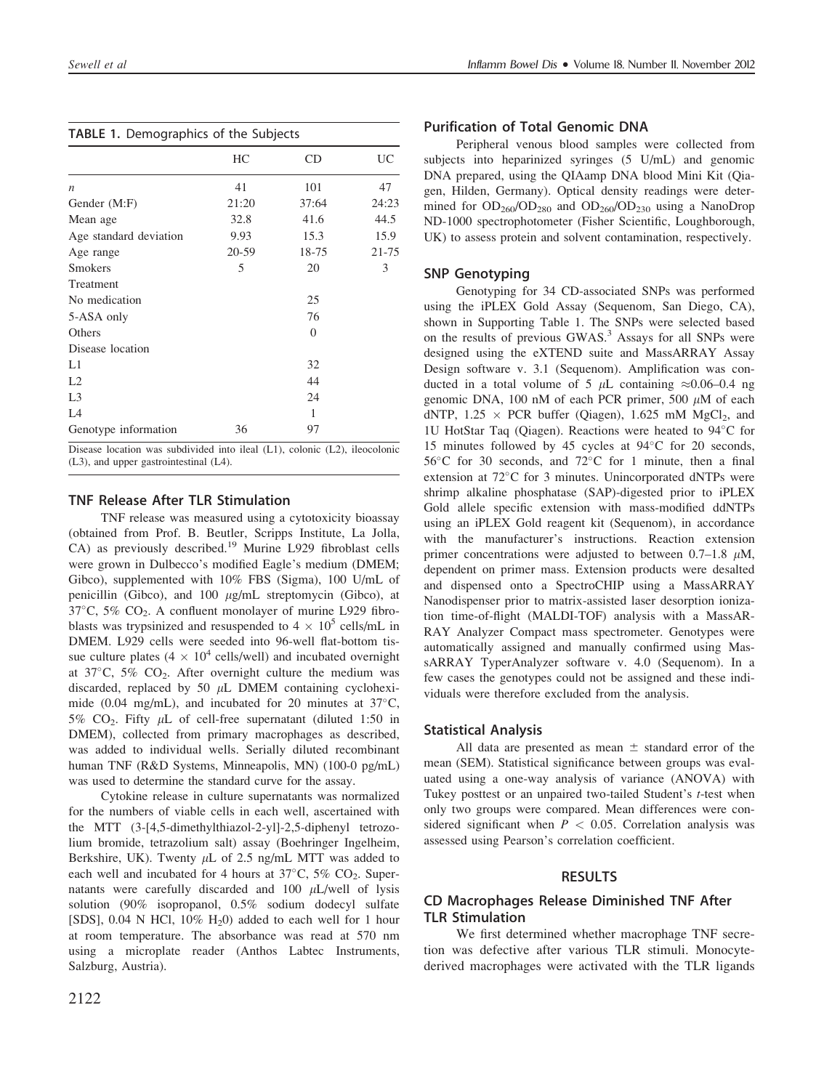|                        | HC    | CD             | UC    |
|------------------------|-------|----------------|-------|
| $\boldsymbol{n}$       | 41    | 101            | 47    |
| Gender (M:F)           | 21:20 | 37:64          | 24:23 |
| Mean age               | 32.8  | 41.6           | 44.5  |
| Age standard deviation | 9.93  | 15.3           | 15.9  |
| Age range              | 20-59 | 18-75          | 21-75 |
| <b>Smokers</b>         | 5     | 20             | 3     |
| Treatment              |       |                |       |
| No medication          |       | 25             |       |
| 5-ASA only             |       | 76             |       |
| Others                 |       | $\overline{0}$ |       |
| Disease location       |       |                |       |
| L1                     |       | 32             |       |
| L2                     |       | 44             |       |
| L <sub>3</sub>         |       | 24             |       |
| L4                     |       | 1              |       |
| Genotype information   | 36    | 97             |       |

Disease location was subdivided into ileal (L1), colonic (L2), ileocolonic (L3), and upper gastrointestinal (L4).

# TNF Release After TLR Stimulation

TNF release was measured using a cytotoxicity bioassay (obtained from Prof. B. Beutler, Scripps Institute, La Jolla, CA) as previously described.<sup>19</sup> Murine L929 fibroblast cells were grown in Dulbecco's modified Eagle's medium (DMEM; Gibco), supplemented with 10% FBS (Sigma), 100 U/mL of penicillin (Gibco), and  $100 \mu g/mL$  streptomycin (Gibco), at  $37^{\circ}$ C,  $5\%$  CO<sub>2</sub>. A confluent monolayer of murine L929 fibroblasts was trypsinized and resuspended to  $4 \times 10^5$  cells/mL in DMEM. L929 cells were seeded into 96-well flat-bottom tissue culture plates ( $4 \times 10^4$  cells/well) and incubated overnight at  $37^{\circ}$ C,  $5\%$  CO<sub>2</sub>. After overnight culture the medium was discarded, replaced by 50  $\mu$ L DMEM containing cycloheximide (0.04 mg/mL), and incubated for 20 minutes at  $37^{\circ}$ C, 5%  $CO<sub>2</sub>$ . Fifty  $\mu$ L of cell-free supernatant (diluted 1:50 in DMEM), collected from primary macrophages as described, was added to individual wells. Serially diluted recombinant human TNF (R&D Systems, Minneapolis, MN) (100-0 pg/mL) was used to determine the standard curve for the assay.

Cytokine release in culture supernatants was normalized for the numbers of viable cells in each well, ascertained with the MTT (3-[4,5-dimethylthiazol-2-yl]-2,5-diphenyl tetrozolium bromide, tetrazolium salt) assay (Boehringer Ingelheim, Berkshire, UK). Twenty  $\mu$ L of 2.5 ng/mL MTT was added to each well and incubated for 4 hours at  $37^{\circ}$ C,  $5\%$  CO<sub>2</sub>. Supernatants were carefully discarded and 100  $\mu$ L/well of lysis solution (90% isopropanol, 0.5% sodium dodecyl sulfate [SDS],  $0.04$  N HCl,  $10\%$  H<sub>2</sub>0) added to each well for 1 hour at room temperature. The absorbance was read at 570 nm using a microplate reader (Anthos Labtec Instruments, Salzburg, Austria).

# Purification of Total Genomic DNA

Peripheral venous blood samples were collected from subjects into heparinized syringes (5 U/mL) and genomic DNA prepared, using the QIAamp DNA blood Mini Kit (Qiagen, Hilden, Germany). Optical density readings were determined for  $OD_{260}/OD_{280}$  and  $OD_{260}/OD_{230}$  using a NanoDrop ND-1000 spectrophotometer (Fisher Scientific, Loughborough, UK) to assess protein and solvent contamination, respectively.

# SNP Genotyping

Genotyping for 34 CD-associated SNPs was performed using the iPLEX Gold Assay (Sequenom, San Diego, CA), shown in Supporting Table 1. The SNPs were selected based on the results of previous GWAS.<sup>3</sup> Assays for all SNPs were designed using the eXTEND suite and MassARRAY Assay Design software v. 3.1 (Sequenom). Amplification was conducted in a total volume of 5  $\mu$ L containing  $\approx 0.06-0.4$  ng genomic DNA, 100 nM of each PCR primer, 500  $\mu$ M of each dNTP,  $1.25 \times PCR$  buffer (Qiagen),  $1.625$  mM MgCl<sub>2</sub>, and 1U HotStar Taq (Qiagen). Reactions were heated to  $94^{\circ}$ C for 15 minutes followed by 45 cycles at  $94^{\circ}$ C for 20 seconds,  $56^{\circ}$ C for 30 seconds, and  $72^{\circ}$ C for 1 minute, then a final extension at  $72^{\circ}$ C for 3 minutes. Unincorporated dNTPs were shrimp alkaline phosphatase (SAP)-digested prior to iPLEX Gold allele specific extension with mass-modified ddNTPs using an iPLEX Gold reagent kit (Sequenom), in accordance with the manufacturer's instructions. Reaction extension primer concentrations were adjusted to between  $0.7-1.8$   $\mu$ M, dependent on primer mass. Extension products were desalted and dispensed onto a SpectroCHIP using a MassARRAY Nanodispenser prior to matrix-assisted laser desorption ionization time-of-flight (MALDI-TOF) analysis with a MassAR-RAY Analyzer Compact mass spectrometer. Genotypes were automatically assigned and manually confirmed using MassARRAY TyperAnalyzer software v. 4.0 (Sequenom). In a few cases the genotypes could not be assigned and these individuals were therefore excluded from the analysis.

# Statistical Analysis

All data are presented as mean  $\pm$  standard error of the mean (SEM). Statistical significance between groups was evaluated using a one-way analysis of variance (ANOVA) with Tukey posttest or an unpaired two-tailed Student's *t*-test when only two groups were compared. Mean differences were considered significant when  $P < 0.05$ . Correlation analysis was assessed using Pearson's correlation coefficient.

# RESULTS

# CD Macrophages Release Diminished TNF After TLR Stimulation

We first determined whether macrophage TNF secretion was defective after various TLR stimuli. Monocytederived macrophages were activated with the TLR ligands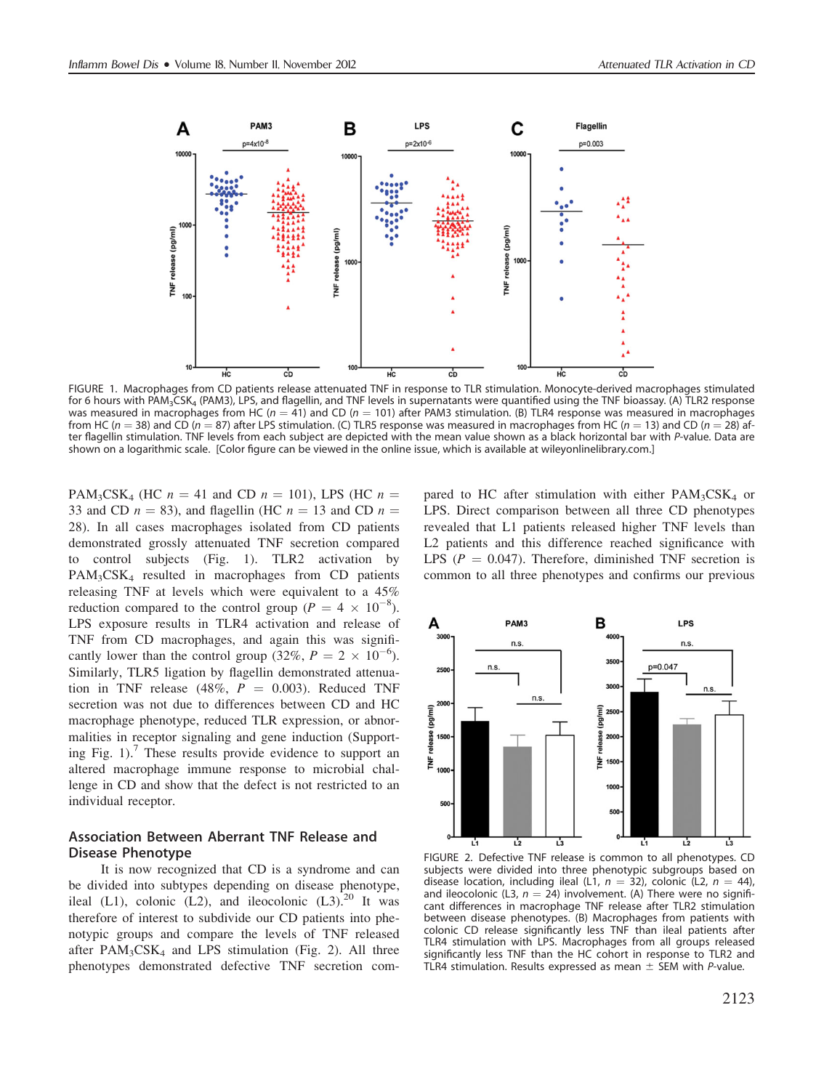

FIGURE 1. Macrophages from CD patients release attenuated TNF in response to TLR stimulation. Monocyte-derived macrophages stimulated for 6 hours with PAM<sub>3</sub>CSK<sub>4</sub> (PAM3), LPS, and flagellin, and TNF levels in supernatants were quantified using the TNF bioassay. (A) TLR2 response was measured in macrophages from HC ( $n = 41$ ) and CD ( $n = 101$ ) after PAM3 stimulation. (B) TLR4 response was measured in macrophages from HC ( $n = 38$ ) and CD ( $n = 87$ ) after LPS stimulation. (C) TLR5 response was measured in macrophages from HC ( $n = 13$ ) and CD ( $n = 28$ ) after flagellin stimulation. TNF levels from each subject are depicted with the mean value shown as a black horizontal bar with P-value. Data are shown on a logarithmic scale. [Color figure can be viewed in the online issue, which is available at wileyonlinelibrary.com.]

PAM<sub>3</sub>CSK<sub>4</sub> (HC  $n = 41$  and CD  $n = 101$ ), LPS (HC  $n =$ 33 and CD  $n = 83$ ), and flagellin (HC  $n = 13$  and CD  $n =$ 28). In all cases macrophages isolated from CD patients demonstrated grossly attenuated TNF secretion compared to control subjects (Fig. 1). TLR2 activation by PAM<sub>3</sub>CSK<sub>4</sub> resulted in macrophages from CD patients releasing TNF at levels which were equivalent to a 45% reduction compared to the control group ( $P = 4 \times 10^{-8}$ ). LPS exposure results in TLR4 activation and release of TNF from CD macrophages, and again this was significantly lower than the control group (32%,  $P = 2 \times 10^{-6}$ ). Similarly, TLR5 ligation by flagellin demonstrated attenuation in TNF release (48%,  $P = 0.003$ ). Reduced TNF secretion was not due to differences between CD and HC macrophage phenotype, reduced TLR expression, or abnormalities in receptor signaling and gene induction (Supporting Fig. 1).<sup>7</sup> These results provide evidence to support an altered macrophage immune response to microbial challenge in CD and show that the defect is not restricted to an individual receptor.

### Association Between Aberrant TNF Release and Disease Phenotype

It is now recognized that CD is a syndrome and can be divided into subtypes depending on disease phenotype, ileal (L1), colonic (L2), and ileocolonic (L3).<sup>20</sup> It was therefore of interest to subdivide our CD patients into phenotypic groups and compare the levels of TNF released after  $PAM_3CSK_4$  and LPS stimulation (Fig. 2). All three phenotypes demonstrated defective TNF secretion compared to HC after stimulation with either  $PAM_3CSK_4$  or LPS. Direct comparison between all three CD phenotypes revealed that L1 patients released higher TNF levels than L2 patients and this difference reached significance with LPS ( $P = 0.047$ ). Therefore, diminished TNF secretion is common to all three phenotypes and confirms our previous



FIGURE 2. Defective TNF release is common to all phenotypes. CD subjects were divided into three phenotypic subgroups based on disease location, including ileal (L1,  $n = 32$ ), colonic (L2,  $n = 44$ ), and ileocolonic (L3,  $n = 24$ ) involvement. (A) There were no significant differences in macrophage TNF release after TLR2 stimulation between disease phenotypes. (B) Macrophages from patients with colonic CD release significantly less TNF than ileal patients after TLR4 stimulation with LPS. Macrophages from all groups released significantly less TNF than the HC cohort in response to TLR2 and TLR4 stimulation. Results expressed as mean  $\pm$  SEM with P-value.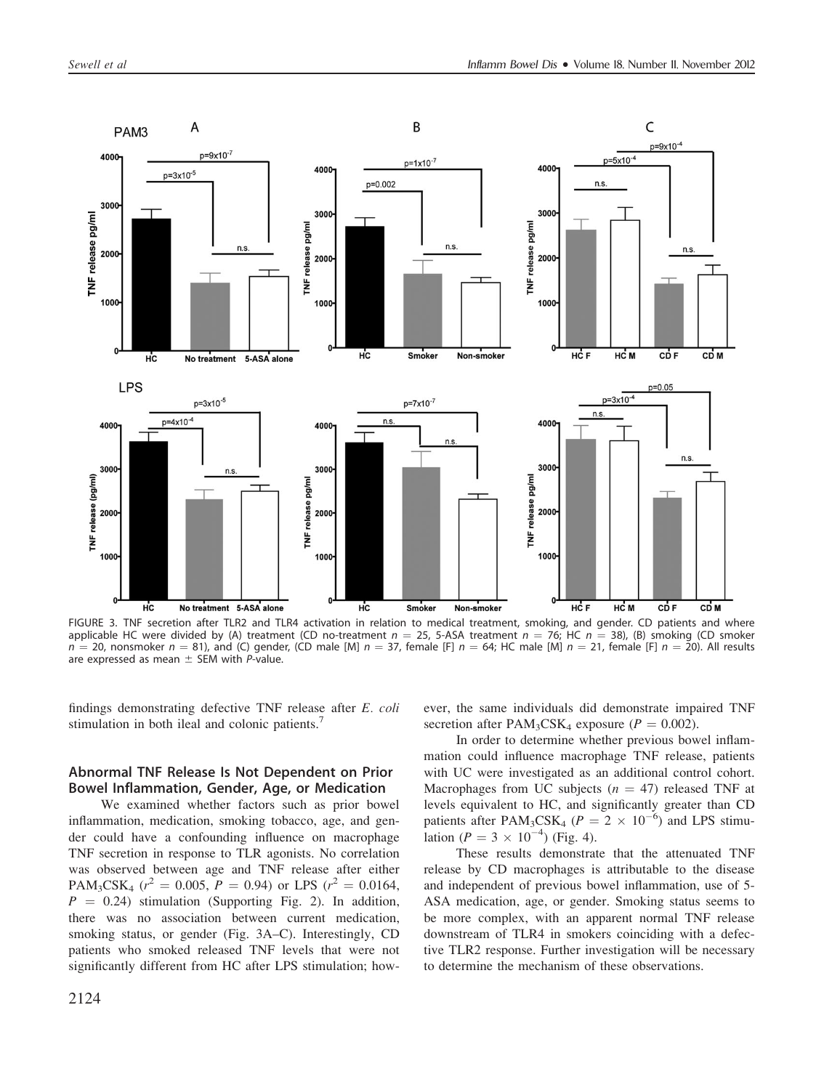

FIGURE 3. TNF secretion after TLR2 and TLR4 activation in relation to medical treatment, smoking, and gender. CD patients and where applicable HC were divided by (A) treatment (CD no-treatment  $n = 25$ , 5-ASA treatment  $n = 76$ ; HC  $n = 38$ ), (B) smoking (CD smoker  $n = 20$ , nonsmoker  $n = 81$ ), and (C) gender, (CD male [M]  $n = 37$ , female [F]  $n = 64$ ; HC male [M]  $n = 21$ , female [F]  $n = 20$ ). All results are expressed as mean  $\pm$  SEM with P-value.

findings demonstrating defective TNF release after E. coli stimulation in both ileal and colonic patients.

### Abnormal TNF Release Is Not Dependent on Prior Bowel Inflammation, Gender, Age, or Medication

We examined whether factors such as prior bowel inflammation, medication, smoking tobacco, age, and gender could have a confounding influence on macrophage TNF secretion in response to TLR agonists. No correlation was observed between age and TNF release after either PAM<sub>3</sub>CSK<sub>4</sub> ( $r^2 = 0.005$ ,  $P = 0.94$ ) or LPS ( $r^2 = 0.0164$ ,  $P = 0.24$ ) stimulation (Supporting Fig. 2). In addition, there was no association between current medication, smoking status, or gender (Fig. 3A–C). Interestingly, CD patients who smoked released TNF levels that were not significantly different from HC after LPS stimulation; however, the same individuals did demonstrate impaired TNF secretion after  $PAM_3CSK_4$  exposure ( $P = 0.002$ ).

In order to determine whether previous bowel inflammation could influence macrophage TNF release, patients with UC were investigated as an additional control cohort. Macrophages from UC subjects ( $n = 47$ ) released TNF at levels equivalent to HC, and significantly greater than CD patients after PAM<sub>3</sub>CSK<sub>4</sub> ( $P = 2 \times 10^{-6}$ ) and LPS stimulation ( $P = 3 \times 10^{-4}$ ) (Fig. 4).

These results demonstrate that the attenuated TNF release by CD macrophages is attributable to the disease and independent of previous bowel inflammation, use of 5- ASA medication, age, or gender. Smoking status seems to be more complex, with an apparent normal TNF release downstream of TLR4 in smokers coinciding with a defective TLR2 response. Further investigation will be necessary to determine the mechanism of these observations.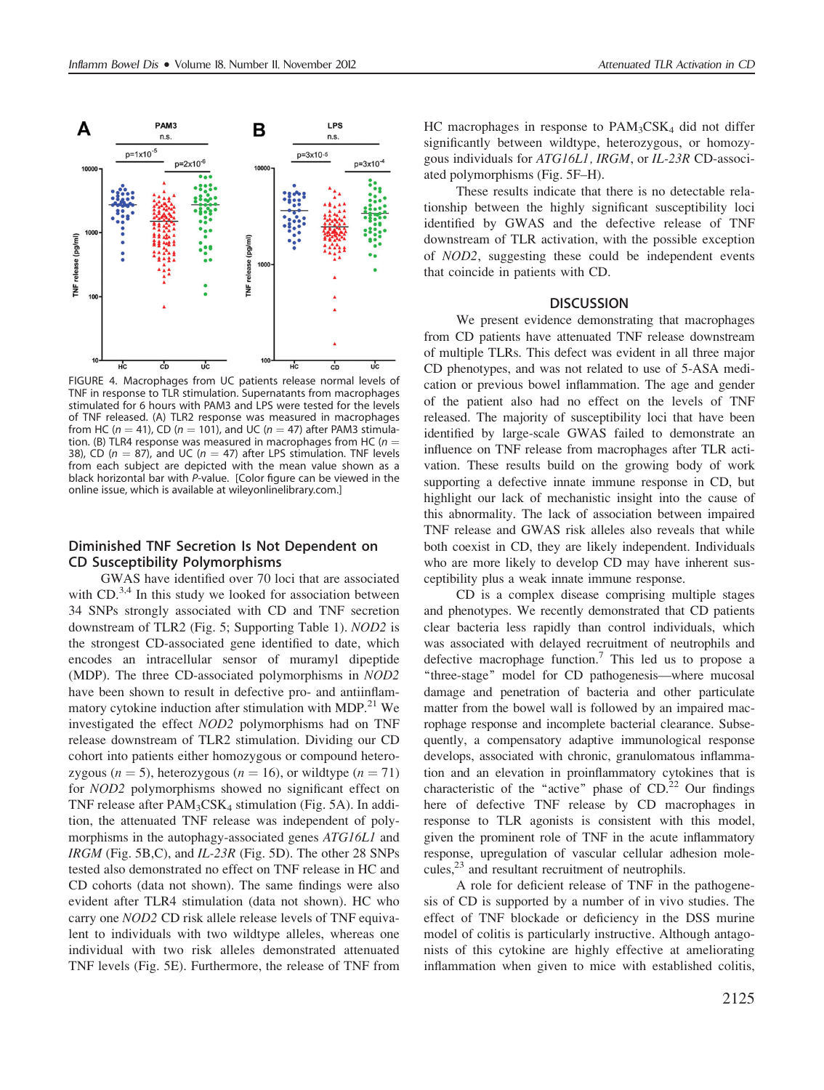

FIGURE 4. Macrophages from UC patients release normal levels of TNF in response to TLR stimulation. Supernatants from macrophages stimulated for 6 hours with PAM3 and LPS were tested for the levels of TNF released. (A) TLR2 response was measured in macrophages from HC ( $n = 41$ ), CD ( $n = 101$ ), and UC ( $n = 47$ ) after PAM3 stimulation. (B) TLR4 response was measured in macrophages from HC ( $n =$ 38), CD ( $n = 87$ ), and UC ( $n = 47$ ) after LPS stimulation. TNF levels from each subject are depicted with the mean value shown as a black horizontal bar with P-value. [Color figure can be viewed in the online issue, which is available at wileyonlinelibrary.com.]

## Diminished TNF Secretion Is Not Dependent on CD Susceptibility Polymorphisms

GWAS have identified over 70 loci that are associated with  $CD<sup>3,4</sup>$  In this study we looked for association between 34 SNPs strongly associated with CD and TNF secretion downstream of TLR2 (Fig. 5; Supporting Table 1). NOD2 is the strongest CD-associated gene identified to date, which encodes an intracellular sensor of muramyl dipeptide (MDP). The three CD-associated polymorphisms in NOD2 have been shown to result in defective pro- and antiinflammatory cytokine induction after stimulation with MDP.<sup>21</sup> We investigated the effect NOD2 polymorphisms had on TNF release downstream of TLR2 stimulation. Dividing our CD cohort into patients either homozygous or compound heterozygous ( $n = 5$ ), heterozygous ( $n = 16$ ), or wildtype ( $n = 71$ ) for NOD2 polymorphisms showed no significant effect on TNF release after  $PAM_3CSK_4$  stimulation (Fig. 5A). In addition, the attenuated TNF release was independent of polymorphisms in the autophagy-associated genes ATG16L1 and  $IRGM$  (Fig. 5B,C), and  $IL-23R$  (Fig. 5D). The other 28 SNPs tested also demonstrated no effect on TNF release in HC and CD cohorts (data not shown). The same findings were also evident after TLR4 stimulation (data not shown). HC who carry one NOD2 CD risk allele release levels of TNF equivalent to individuals with two wildtype alleles, whereas one individual with two risk alleles demonstrated attenuated TNF levels (Fig. 5E). Furthermore, the release of TNF from HC macrophages in response to  $PAM_3CSK_4$  did not differ significantly between wildtype, heterozygous, or homozygous individuals for ATG16L1, IRGM, or IL-23R CD-associated polymorphisms (Fig. 5F–H).

These results indicate that there is no detectable relationship between the highly significant susceptibility loci identified by GWAS and the defective release of TNF downstream of TLR activation, with the possible exception of NOD2, suggesting these could be independent events that coincide in patients with CD.

#### **DISCUSSION**

We present evidence demonstrating that macrophages from CD patients have attenuated TNF release downstream of multiple TLRs. This defect was evident in all three major CD phenotypes, and was not related to use of 5-ASA medication or previous bowel inflammation. The age and gender of the patient also had no effect on the levels of TNF released. The majority of susceptibility loci that have been identified by large-scale GWAS failed to demonstrate an influence on TNF release from macrophages after TLR activation. These results build on the growing body of work supporting a defective innate immune response in CD, but highlight our lack of mechanistic insight into the cause of this abnormality. The lack of association between impaired TNF release and GWAS risk alleles also reveals that while both coexist in CD, they are likely independent. Individuals who are more likely to develop CD may have inherent susceptibility plus a weak innate immune response.

CD is a complex disease comprising multiple stages and phenotypes. We recently demonstrated that CD patients clear bacteria less rapidly than control individuals, which was associated with delayed recruitment of neutrophils and defective macrophage function.<sup>7</sup> This led us to propose a ''three-stage'' model for CD pathogenesis—where mucosal damage and penetration of bacteria and other particulate matter from the bowel wall is followed by an impaired macrophage response and incomplete bacterial clearance. Subsequently, a compensatory adaptive immunological response develops, associated with chronic, granulomatous inflammation and an elevation in proinflammatory cytokines that is characteristic of the "active" phase of  $CD<sup>22</sup>$  Our findings here of defective TNF release by CD macrophages in response to TLR agonists is consistent with this model, given the prominent role of TNF in the acute inflammatory response, upregulation of vascular cellular adhesion molecules, $^{23}$  and resultant recruitment of neutrophils.

A role for deficient release of TNF in the pathogenesis of CD is supported by a number of in vivo studies. The effect of TNF blockade or deficiency in the DSS murine model of colitis is particularly instructive. Although antagonists of this cytokine are highly effective at ameliorating inflammation when given to mice with established colitis,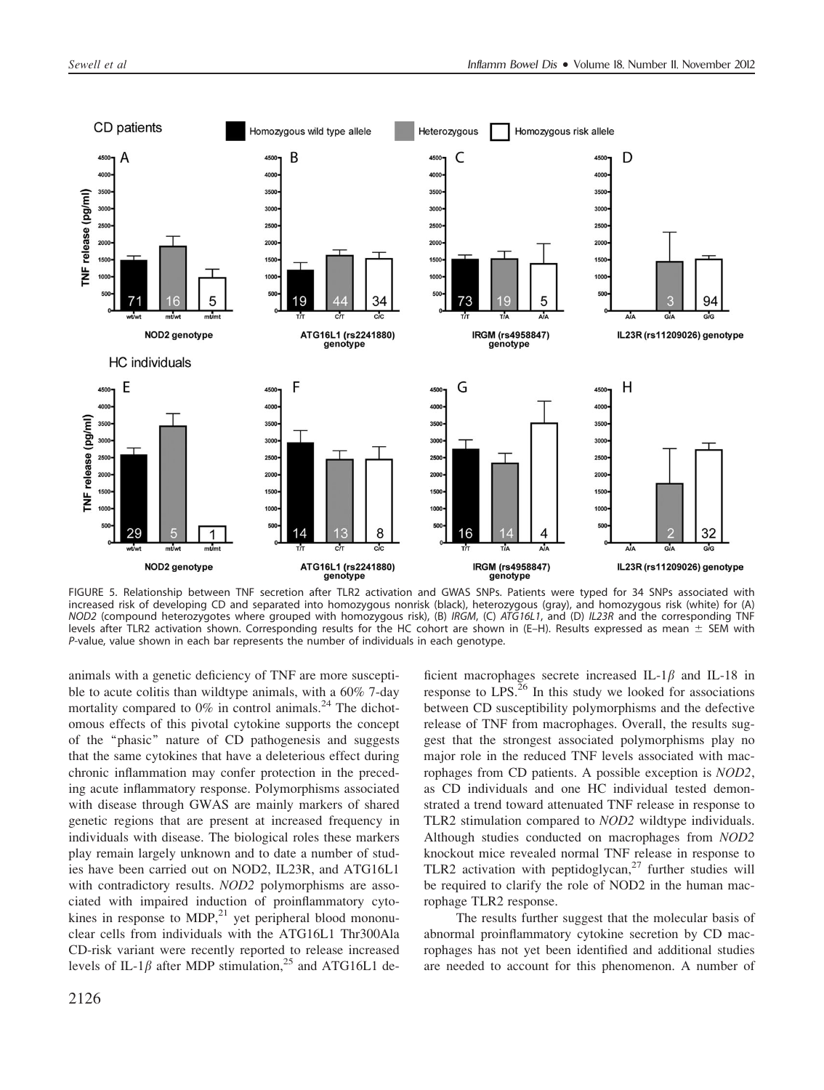

FIGURE 5. Relationship between TNF secretion after TLR2 activation and GWAS SNPs. Patients were typed for 34 SNPs associated with increased risk of developing CD and separated into homozygous nonrisk (black), heterozygous (gray), and homozygous risk (white) for (A) NOD2 (compound heterozygotes where grouped with homozygous risk), (B) IRGM, (C) ATG16L1, and (D) IL23R and the corresponding TNF levels after TLR2 activation shown. Corresponding results for the HC cohort are shown in (E–H). Results expressed as mean  $\pm$  SEM with P-value, value shown in each bar represents the number of individuals in each genotype.

animals with a genetic deficiency of TNF are more susceptible to acute colitis than wildtype animals, with a 60% 7-day mortality compared to  $0\%$  in control animals.<sup>24</sup> The dichotomous effects of this pivotal cytokine supports the concept of the ''phasic'' nature of CD pathogenesis and suggests that the same cytokines that have a deleterious effect during chronic inflammation may confer protection in the preceding acute inflammatory response. Polymorphisms associated with disease through GWAS are mainly markers of shared genetic regions that are present at increased frequency in individuals with disease. The biological roles these markers play remain largely unknown and to date a number of studies have been carried out on NOD2, IL23R, and ATG16L1 with contradictory results. *NOD2* polymorphisms are associated with impaired induction of proinflammatory cytokines in response to  $MDP<sub>1</sub><sup>21</sup>$  yet peripheral blood mononuclear cells from individuals with the ATG16L1 Thr300Ala CD-risk variant were recently reported to release increased levels of IL-1 $\beta$  after MDP stimulation,<sup>25</sup> and ATG16L1 deficient macrophages secrete increased IL-1 $\beta$  and IL-18 in response to  $LPS<sup>26</sup>$  In this study we looked for associations between CD susceptibility polymorphisms and the defective release of TNF from macrophages. Overall, the results suggest that the strongest associated polymorphisms play no major role in the reduced TNF levels associated with macrophages from CD patients. A possible exception is NOD2, as CD individuals and one HC individual tested demonstrated a trend toward attenuated TNF release in response to TLR2 stimulation compared to NOD2 wildtype individuals. Although studies conducted on macrophages from NOD2 knockout mice revealed normal TNF release in response to TLR2 activation with peptidoglycan, $27$  further studies will be required to clarify the role of NOD2 in the human macrophage TLR2 response.

The results further suggest that the molecular basis of abnormal proinflammatory cytokine secretion by CD macrophages has not yet been identified and additional studies are needed to account for this phenomenon. A number of